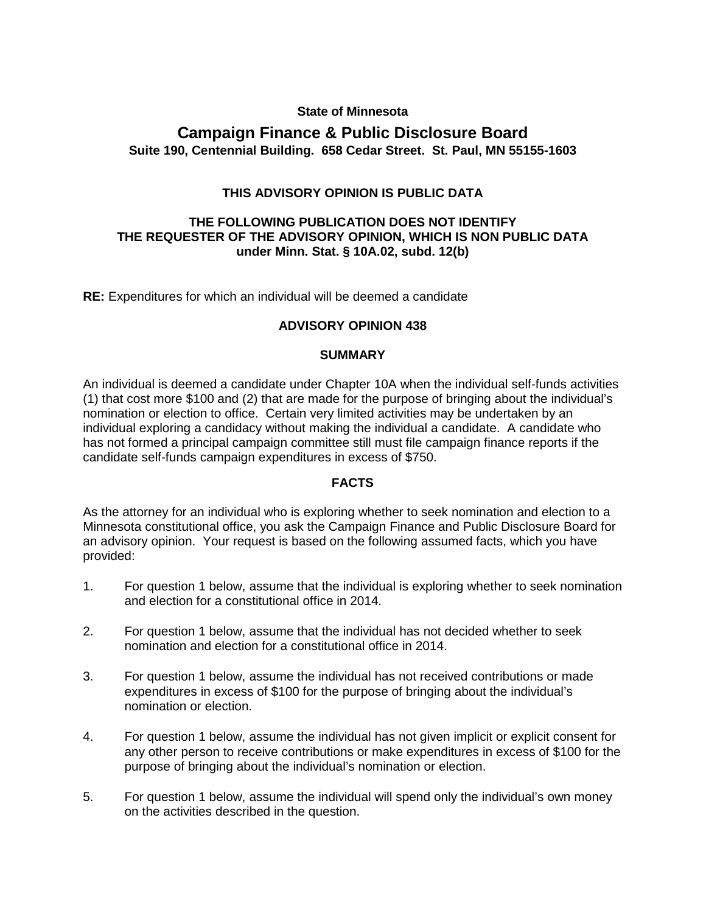### **State of Minnesota**

# **Campaign Finance & Public Disclosure Board Suite 190, Centennial Building. 658 Cedar Street. St. Paul, MN 55155-1603**

### **THIS ADVISORY OPINION IS PUBLIC DATA**

### **THE FOLLOWING PUBLICATION DOES NOT IDENTIFY THE REQUESTER OF THE ADVISORY OPINION, WHICH IS NON PUBLIC DATA under Minn. Stat. § 10A.02, subd. 12(b)**

**RE:** Expenditures for which an individual will be deemed a candidate

### **ADVISORY OPINION 438**

### **SUMMARY**

An individual is deemed a candidate under Chapter 10A when the individual self-funds activities (1) that cost more \$100 and (2) that are made for the purpose of bringing about the individual's nomination or election to office. Certain very limited activities may be undertaken by an individual exploring a candidacy without making the individual a candidate. A candidate who has not formed a principal campaign committee still must file campaign finance reports if the candidate self-funds campaign expenditures in excess of \$750.

### **FACTS**

As the attorney for an individual who is exploring whether to seek nomination and election to a Minnesota constitutional office, you ask the Campaign Finance and Public Disclosure Board for an advisory opinion. Your request is based on the following assumed facts, which you have provided:

- 1. For question 1 below, assume that the individual is exploring whether to seek nomination and election for a constitutional office in 2014.
- 2. For question 1 below, assume that the individual has not decided whether to seek nomination and election for a constitutional office in 2014.
- 3. For question 1 below, assume the individual has not received contributions or made expenditures in excess of \$100 for the purpose of bringing about the individual's nomination or election.
- 4. For question 1 below, assume the individual has not given implicit or explicit consent for any other person to receive contributions or make expenditures in excess of \$100 for the purpose of bringing about the individual's nomination or election.
- 5. For question 1 below, assume the individual will spend only the individual's own money on the activities described in the question.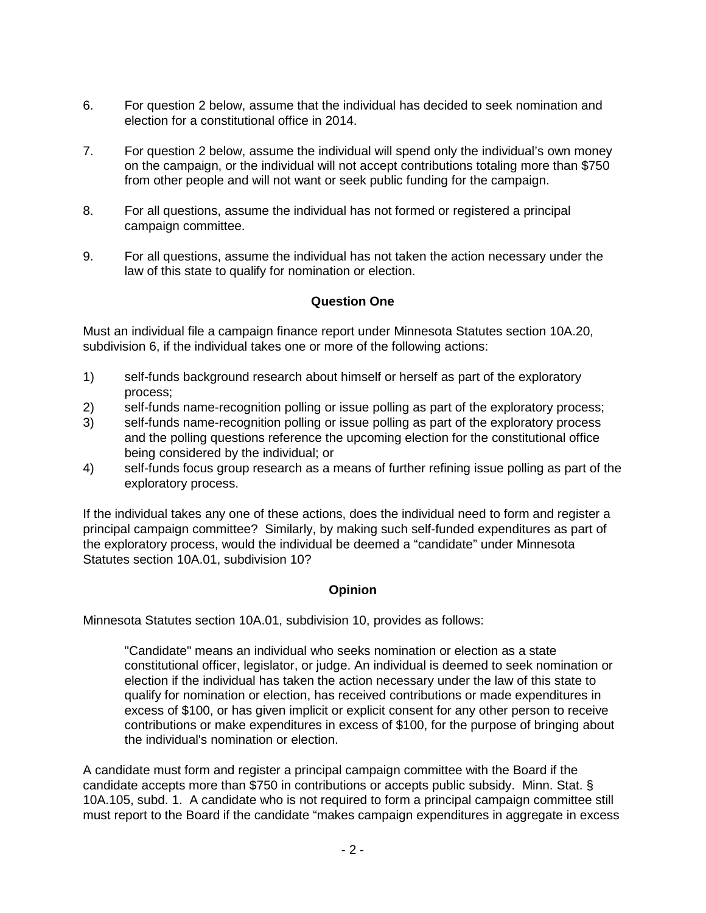- 6. For question 2 below, assume that the individual has decided to seek nomination and election for a constitutional office in 2014.
- 7. For question 2 below, assume the individual will spend only the individual's own money on the campaign, or the individual will not accept contributions totaling more than \$750 from other people and will not want or seek public funding for the campaign.
- 8. For all questions, assume the individual has not formed or registered a principal campaign committee.
- 9. For all questions, assume the individual has not taken the action necessary under the law of this state to qualify for nomination or election.

### **Question One**

Must an individual file a campaign finance report under Minnesota Statutes section 10A.20, subdivision 6, if the individual takes one or more of the following actions:

- 1) self-funds background research about himself or herself as part of the exploratory process;
- 2) self-funds name-recognition polling or issue polling as part of the exploratory process;
- 3) self-funds name-recognition polling or issue polling as part of the exploratory process and the polling questions reference the upcoming election for the constitutional office being considered by the individual; or
- 4) self-funds focus group research as a means of further refining issue polling as part of the exploratory process.

If the individual takes any one of these actions, does the individual need to form and register a principal campaign committee? Similarly, by making such self-funded expenditures as part of the exploratory process, would the individual be deemed a "candidate" under Minnesota Statutes section 10A.01, subdivision 10?

## **Opinion**

Minnesota Statutes section 10A.01, subdivision 10, provides as follows:

"Candidate" means an individual who seeks nomination or election as a state constitutional officer, legislator, or judge. An individual is deemed to seek nomination or election if the individual has taken the action necessary under the law of this state to qualify for nomination or election, has received contributions or made expenditures in excess of \$100, or has given implicit or explicit consent for any other person to receive contributions or make expenditures in excess of \$100, for the purpose of bringing about the individual's nomination or election.

A candidate must form and register a principal campaign committee with the Board if the candidate accepts more than \$750 in contributions or accepts public subsidy. Minn. Stat. § 10A.105, subd. 1. A candidate who is not required to form a principal campaign committee still must report to the Board if the candidate "makes campaign expenditures in aggregate in excess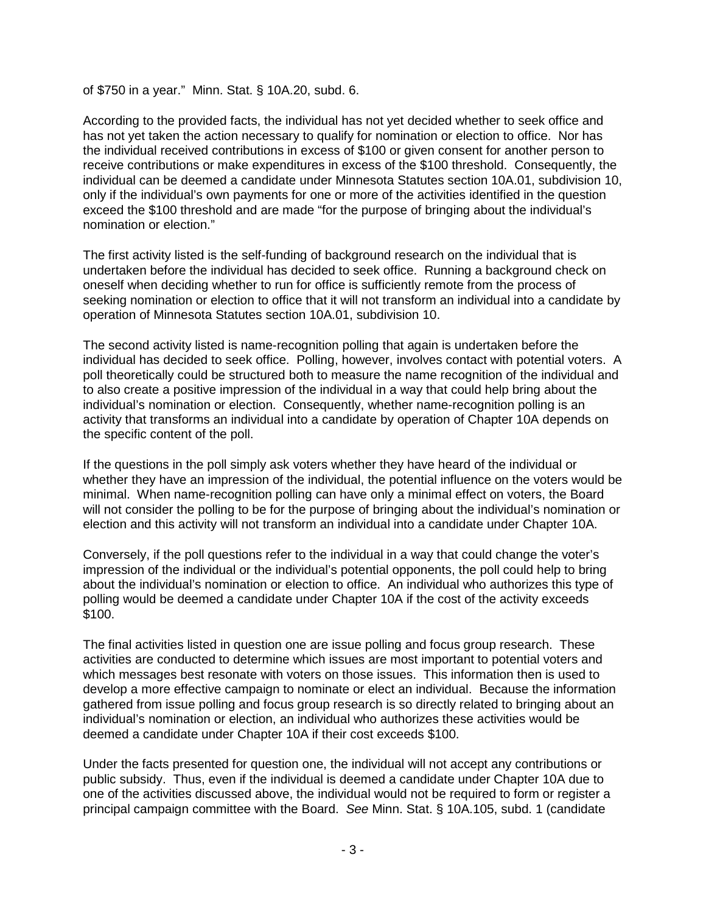of \$750 in a year." Minn. Stat. § 10A.20, subd. 6.

According to the provided facts, the individual has not yet decided whether to seek office and has not yet taken the action necessary to qualify for nomination or election to office. Nor has the individual received contributions in excess of \$100 or given consent for another person to receive contributions or make expenditures in excess of the \$100 threshold. Consequently, the individual can be deemed a candidate under Minnesota Statutes section 10A.01, subdivision 10, only if the individual's own payments for one or more of the activities identified in the question exceed the \$100 threshold and are made "for the purpose of bringing about the individual's nomination or election."

The first activity listed is the self-funding of background research on the individual that is undertaken before the individual has decided to seek office. Running a background check on oneself when deciding whether to run for office is sufficiently remote from the process of seeking nomination or election to office that it will not transform an individual into a candidate by operation of Minnesota Statutes section 10A.01, subdivision 10.

The second activity listed is name-recognition polling that again is undertaken before the individual has decided to seek office. Polling, however, involves contact with potential voters. A poll theoretically could be structured both to measure the name recognition of the individual and to also create a positive impression of the individual in a way that could help bring about the individual's nomination or election. Consequently, whether name-recognition polling is an activity that transforms an individual into a candidate by operation of Chapter 10A depends on the specific content of the poll.

If the questions in the poll simply ask voters whether they have heard of the individual or whether they have an impression of the individual, the potential influence on the voters would be minimal. When name-recognition polling can have only a minimal effect on voters, the Board will not consider the polling to be for the purpose of bringing about the individual's nomination or election and this activity will not transform an individual into a candidate under Chapter 10A.

Conversely, if the poll questions refer to the individual in a way that could change the voter's impression of the individual or the individual's potential opponents, the poll could help to bring about the individual's nomination or election to office. An individual who authorizes this type of polling would be deemed a candidate under Chapter 10A if the cost of the activity exceeds \$100.

The final activities listed in question one are issue polling and focus group research. These activities are conducted to determine which issues are most important to potential voters and which messages best resonate with voters on those issues. This information then is used to develop a more effective campaign to nominate or elect an individual. Because the information gathered from issue polling and focus group research is so directly related to bringing about an individual's nomination or election, an individual who authorizes these activities would be deemed a candidate under Chapter 10A if their cost exceeds \$100.

Under the facts presented for question one, the individual will not accept any contributions or public subsidy. Thus, even if the individual is deemed a candidate under Chapter 10A due to one of the activities discussed above, the individual would not be required to form or register a principal campaign committee with the Board. *See* Minn. Stat. § 10A.105, subd. 1 (candidate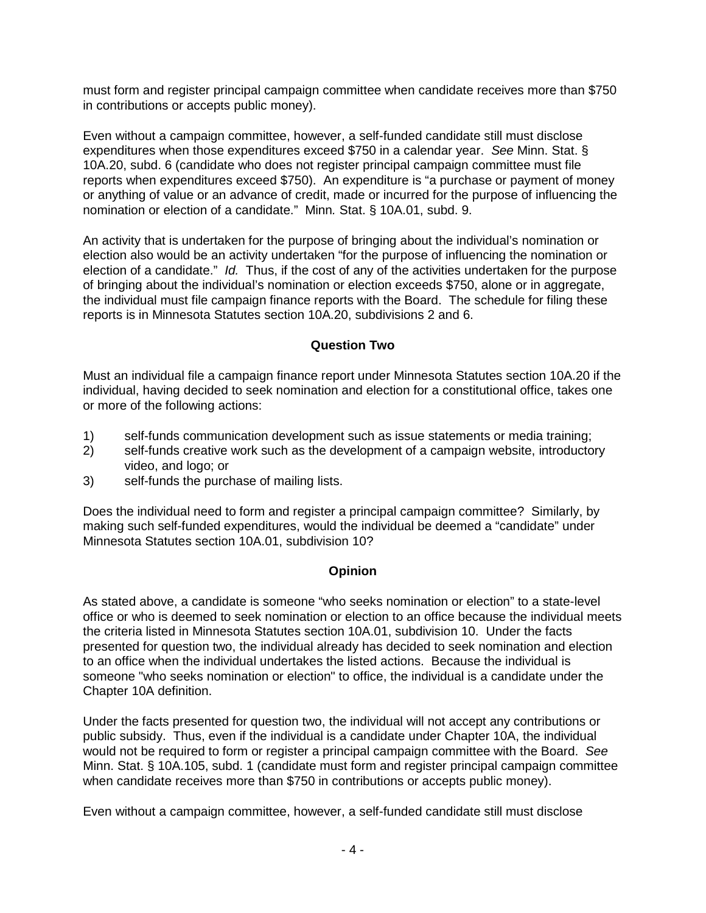must form and register principal campaign committee when candidate receives more than \$750 in contributions or accepts public money).

Even without a campaign committee, however, a self-funded candidate still must disclose expenditures when those expenditures exceed \$750 in a calendar year. *See* Minn. Stat. § 10A.20, subd. 6 (candidate who does not register principal campaign committee must file reports when expenditures exceed \$750). An expenditure is "a purchase or payment of money or anything of value or an advance of credit, made or incurred for the purpose of influencing the nomination or election of a candidate." Minn*.* Stat. § 10A.01, subd. 9.

An activity that is undertaken for the purpose of bringing about the individual's nomination or election also would be an activity undertaken "for the purpose of influencing the nomination or election of a candidate." *Id.* Thus, if the cost of any of the activities undertaken for the purpose of bringing about the individual's nomination or election exceeds \$750, alone or in aggregate, the individual must file campaign finance reports with the Board. The schedule for filing these reports is in Minnesota Statutes section 10A.20, subdivisions 2 and 6.

### **Question Two**

Must an individual file a campaign finance report under Minnesota Statutes section 10A.20 if the individual, having decided to seek nomination and election for a constitutional office, takes one or more of the following actions:

- 1) self-funds communication development such as issue statements or media training;
- 2) self-funds creative work such as the development of a campaign website, introductory video, and logo; or
- 3) self-funds the purchase of mailing lists.

Does the individual need to form and register a principal campaign committee? Similarly, by making such self-funded expenditures, would the individual be deemed a "candidate" under Minnesota Statutes section 10A.01, subdivision 10?

### **Opinion**

As stated above, a candidate is someone "who seeks nomination or election" to a state-level office or who is deemed to seek nomination or election to an office because the individual meets the criteria listed in Minnesota Statutes section 10A.01, subdivision 10. Under the facts presented for question two, the individual already has decided to seek nomination and election to an office when the individual undertakes the listed actions. Because the individual is someone "who seeks nomination or election" to office, the individual is a candidate under the Chapter 10A definition.

Under the facts presented for question two, the individual will not accept any contributions or public subsidy. Thus, even if the individual is a candidate under Chapter 10A, the individual would not be required to form or register a principal campaign committee with the Board. *See*  Minn. Stat. § 10A.105, subd. 1 (candidate must form and register principal campaign committee when candidate receives more than \$750 in contributions or accepts public money).

Even without a campaign committee, however, a self-funded candidate still must disclose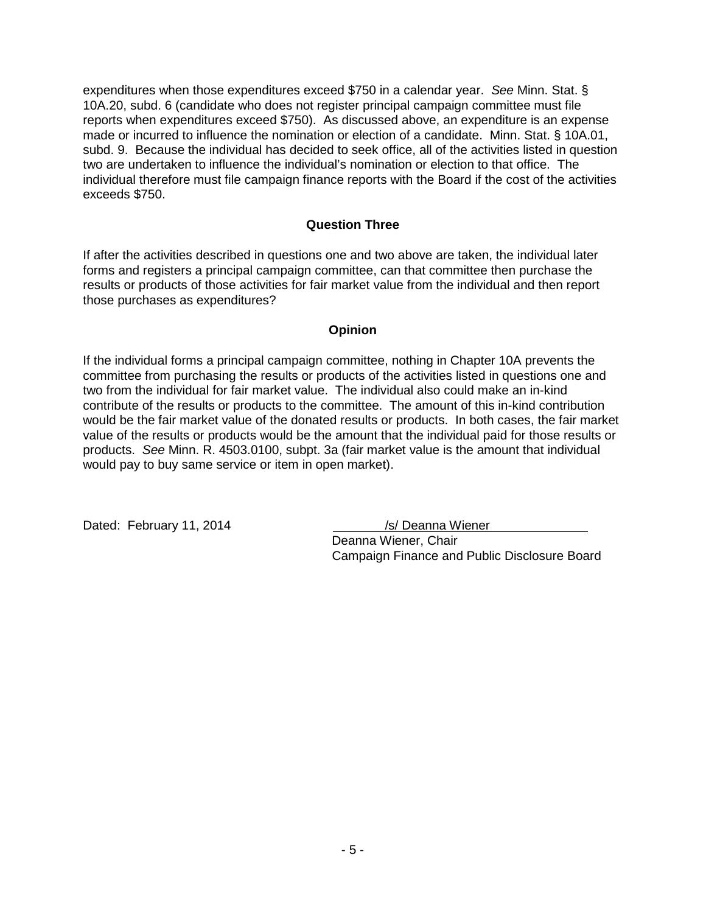expenditures when those expenditures exceed \$750 in a calendar year. *See* Minn. Stat. § 10A.20, subd. 6 (candidate who does not register principal campaign committee must file reports when expenditures exceed \$750). As discussed above, an expenditure is an expense made or incurred to influence the nomination or election of a candidate. Minn. Stat. § 10A.01, subd. 9. Because the individual has decided to seek office, all of the activities listed in question two are undertaken to influence the individual's nomination or election to that office. The individual therefore must file campaign finance reports with the Board if the cost of the activities exceeds \$750.

### **Question Three**

If after the activities described in questions one and two above are taken, the individual later forms and registers a principal campaign committee, can that committee then purchase the results or products of those activities for fair market value from the individual and then report those purchases as expenditures?

### **Opinion**

If the individual forms a principal campaign committee, nothing in Chapter 10A prevents the committee from purchasing the results or products of the activities listed in questions one and two from the individual for fair market value. The individual also could make an in-kind contribute of the results or products to the committee. The amount of this in-kind contribution would be the fair market value of the donated results or products. In both cases, the fair market value of the results or products would be the amount that the individual paid for those results or products. *See* Minn. R. 4503.0100, subpt. 3a (fair market value is the amount that individual would pay to buy same service or item in open market).

Dated: February 11, 2014 /s/ Deanna Wiener

Deanna Wiener, Chair Campaign Finance and Public Disclosure Board